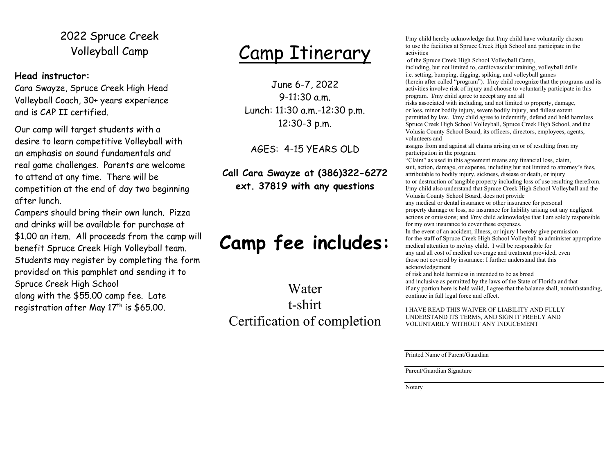### 2022 Spruce Creek Volleyball Camp

#### Head instructor:

Cara Swayze, Spruce Creek High Head Volleyball Coach, 30+ years experience and is CAP II certified.

Our camp will target students with a desire to learn competitive Volleyball with an emphasis on sound fundamentals and real game challenges. Parents are welcome to attend at any time. There will be competition at the end of day two beginning after lunch.

Campers should bring their own lunch. Pizza and drinks will be available for purchase at \$1.00 an item. All proceeds from the camp will benefit Spruce Creek High Volleyball team. Students may register by completing the form provided on this pamphlet and sending it to Spruce Creek High School along with the \$55.00 camp fee. Late registration after May  $17<sup>th</sup>$  is \$65.00.

## Camp Itinerary

June 6-7, 2022 9-11:30 a.m. Lunch: 11:30 a.m.-12:30 p.m. 12:30-3 p.m.

AGES: 4-15 YEARS OLD

Call Cara Swayze at (386)322-6272 ext. 37819 with any questions

### Camp fee includes:

Water t-shirt Certification of completion I/my child hereby acknowledge that I/my child have voluntarily chosen to use the facilities at Spruce Creek High School and participate in the activities

 of the Spruce Creek High School Volleyball Camp, including, but not limited to, cardiovascular training, volleyball drills i.e. setting, bumping, digging, spiking, and volleyball games (herein after called "program"). I/my child recognize that the programs and its activities involve risk of injury and choose to voluntarily participate in this program. I/my child agree to accept any and all

risks associated with including, and not limited to property, damage, or loss, minor bodily injury, severe bodily injury, and fullest extent permitted by law. I/my child agree to indemnify, defend and hold harmless Spruce Creek High School Volleyball, Spruce Creek High School, and the Volusia County School Board, its officers, directors, employees, agents, volunteers and

assigns from and against all claims arising on or of resulting from my participation in the program.

"Claim" as used in this agreement means any financial loss, claim, suit, action, damage, or expense, including but not limited to attorney's fees, attributable to bodily injury, sickness, disease or death, or injury to or destruction of tangible property including loss of use resulting therefrom. I/my child also understand that Spruce Creek High School Volleyball and the Volusia County School Board, does not provide

any medical or dental insurance or other insurance for personal property damage or loss, no insurance for liability arising out any negligent actions or omissions; and I/my child acknowledge that I am solely responsible for my own insurance to cover these expenses.

In the event of an accident, illness, or injury I hereby give permission for the staff of Spruce Creek High School Volleyball to administer appropriate medical attention to me/my child. I will be responsible for any and all cost of medical coverage and treatment provided, even those not covered by insurance: I further understand that this acknowledgement

of risk and hold harmless in intended to be as broad and inclusive as permitted by the laws of the State of Florida and that if any portion here is held valid, I agree that the balance shall, notwithstanding, continue in full legal force and effect.

I HAVE READ THIS WAIVER OF LIABILITY AND FULLY UNDERSTAND ITS TERMS, AND SIGN IT FREELY AND VOLUNTARILY WITHOUT ANY INDUCEMENT

Printed Name of Parent/Guardian

Parent/Guardian Signature

Notary